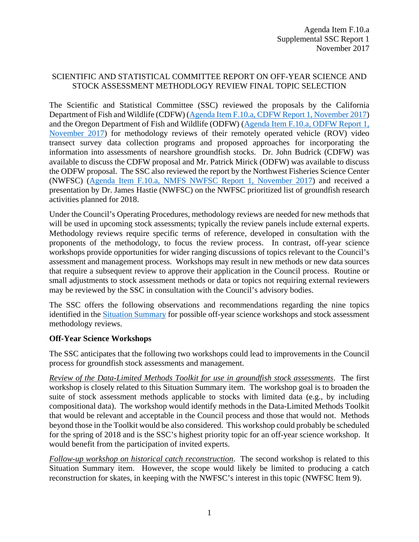#### SCIENTIFIC AND STATISTICAL COMMITTEE REPORT ON OFF-YEAR SCIENCE AND STOCK ASSESSMENT METHODLOGY REVIEW FINAL TOPIC SELECTION

The Scientific and Statistical Committee (SSC) reviewed the proposals by the California Department of Fish and Wildlife (CDFW) [\(Agenda Item F.10.a, CDFW Report 1, November 2017\)](http://www.pcouncil.org/wp-content/uploads/2017/10/F10a_CDFW_Rpt1_ROV_Research_Proposal_Final_NOV2017BB.pdf) and the Oregon Department of Fish and Wildlife (ODFW) [\(Agenda Item F.10.a, ODFW Report 1,](http://www.pcouncil.org/wp-content/uploads/2017/10/F10a_ODFW_Rpt1_stock_assmt_method_review_NOV2017BB.pdf)  [November 2017\)](http://www.pcouncil.org/wp-content/uploads/2017/10/F10a_ODFW_Rpt1_stock_assmt_method_review_NOV2017BB.pdf) for methodology reviews of their remotely operated vehicle (ROV) video transect survey data collection programs and proposed approaches for incorporating the information into assessments of nearshore groundfish stocks. Dr. John Budrick (CDFW) was available to discuss the CDFW proposal and Mr. Patrick Mirick (ODFW) was available to discuss the ODFW proposal. The SSC also reviewed the report by the Northwest Fisheries Science Center (NWFSC) [\(Agenda Item F.10.a, NMFS NWFSC Report 1, November 2017\)](http://www.pcouncil.org/wp-content/uploads/2017/10/F10a_NMFS_NWFSC_Rpt1_Off-year_for_Council-final_NOV2017BB.pdf) and received a presentation by Dr. James Hastie (NWFSC) on the NWFSC prioritized list of groundfish research activities planned for 2018.

Under the Council's Operating Procedures, methodology reviews are needed for new methods that will be used in upcoming stock assessments; typically the review panels include external experts. Methodology reviews require specific terms of reference, developed in consultation with the proponents of the methodology, to focus the review process. In contrast, off-year science workshops provide opportunities for wider ranging discussions of topics relevant to the Council's assessment and management process. Workshops may result in new methods or new data sources that require a subsequent review to approve their application in the Council process. Routine or small adjustments to stock assessment methods or data or topics not requiring external reviewers may be reviewed by the SSC in consultation with the Council's advisory bodies.

The SSC offers the following observations and recommendations regarding the nine topics identified in the [Situation Summary](http://www.pcouncil.org/wp-content/uploads/2017/10/F10__SitSum_OffYrScienceMethodsReviews_NOV2017BB.pdf) for possible off-year science workshops and stock assessment methodology reviews.

#### **Off-Year Science Workshops**

The SSC anticipates that the following two workshops could lead to improvements in the Council process for groundfish stock assessments and management.

*Review of the Data-Limited Methods Toolkit for use in groundfish stock assessments*. The first workshop is closely related to this Situation Summary item. The workshop goal is to broaden the suite of stock assessment methods applicable to stocks with limited data (e.g., by including compositional data). The workshop would identify methods in the Data-Limited Methods Toolkit that would be relevant and acceptable in the Council process and those that would not. Methods beyond those in the Toolkit would be also considered. This workshop could probably be scheduled for the spring of 2018 and is the SSC's highest priority topic for an off-year science workshop. It would benefit from the participation of invited experts.

*Follow-up workshop on historical catch reconstruction*. The second workshop is related to this Situation Summary item. However, the scope would likely be limited to producing a catch reconstruction for skates, in keeping with the NWFSC's interest in this topic (NWFSC Item 9).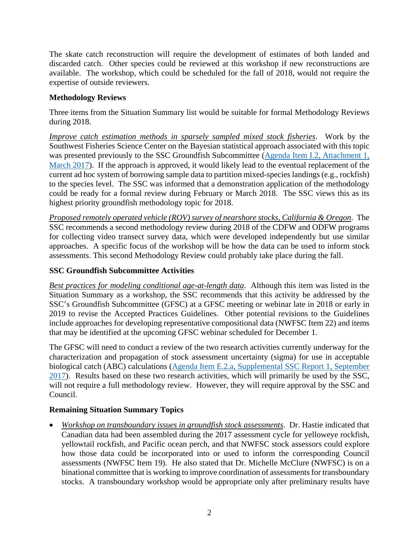The skate catch reconstruction will require the development of estimates of both landed and discarded catch. Other species could be reviewed at this workshop if new reconstructions are available. The workshop, which could be scheduled for the fall of 2018, would not require the expertise of outside reviewers.

### **Methodology Reviews**

Three items from the Situation Summary list would be suitable for formal Methodology Reviews during 2018.

*Improve catch estimation methods in sparsely sampled mixed stock fisheries*. Work by the Southwest Fisheries Science Center on the Bayesian statistical approach associated with this topic was presented previously to the SSC Groundfish Subcommittee [\(Agenda Item I.2, Attachment 1,](http://www.pcouncil.org/wp-content/uploads/2017/02/I2_Att1_Catch_Reconstruction_Workshop_Report_Mar2017BB.pdf) [March 2017\)](http://www.pcouncil.org/wp-content/uploads/2017/02/I2_Att1_Catch_Reconstruction_Workshop_Report_Mar2017BB.pdf). If the approach is approved, it would likely lead to the eventual replacement of the current ad hoc system of borrowing sample data to partition mixed-species landings (e.g., rockfish) to the species level. The SSC was informed that a demonstration application of the methodology could be ready for a formal review during February or March 2018. The SSC views this as its highest priority groundfish methodology topic for 2018.

*Proposed remotely operated vehicle (ROV) survey of nearshore stocks, California & Oregon*. The SSC recommends a second methodology review during 2018 of the CDFW and ODFW programs for collecting video transect survey data, which were developed independently but use similar approaches. A specific focus of the workshop will be how the data can be used to inform stock assessments. This second Methodology Review could probably take place during the fall.

## **SSC Groundfish Subcommittee Activities**

*Best practices for modeling conditional age-at-length data*. Although this item was listed in the Situation Summary as a workshop, the SSC recommends that this activity be addressed by the SSC's Groundfish Subcommittee (GFSC) at a GFSC meeting or webinar late in 2018 or early in 2019 to revise the Accepted Practices Guidelines. Other potential revisions to the Guidelines include approaches for developing representative compositional data (NWFSC Item 22) and items that may be identified at the upcoming GFSC webinar scheduled for December 1.

The GFSC will need to conduct a review of the two research activities currently underway for the characterization and propagation of stock assessment uncertainty (sigma) for use in acceptable biological catch (ABC) calculations [\(Agenda Item E.2.a, Supplemental](http://www.pcouncil.org/wp-content/uploads/2017/09/E2a_Sup_SSC_Rpt1_SEPT2017BB.pdf) SSC Report 1, September [2017\)](http://www.pcouncil.org/wp-content/uploads/2017/09/E2a_Sup_SSC_Rpt1_SEPT2017BB.pdf). Results based on these two research activities, which will primarily be used by the SSC, will not require a full methodology review. However, they will require approval by the SSC and Council.

# **Remaining Situation Summary Topics**

• *Workshop on transboundary issues in groundfish stock assessments*. Dr. Hastie indicated that Canadian data had been assembled during the 2017 assessment cycle for yelloweye rockfish, yellowtail rockfish, and Pacific ocean perch, and that NWFSC stock assessors could explore how those data could be incorporated into or used to inform the corresponding Council assessments (NWFSC Item 19). He also stated that Dr. Michelle McClure (NWFSC) is on a binational committee that is working to improve coordination of assessments for transboundary stocks. A transboundary workshop would be appropriate only after preliminary results have